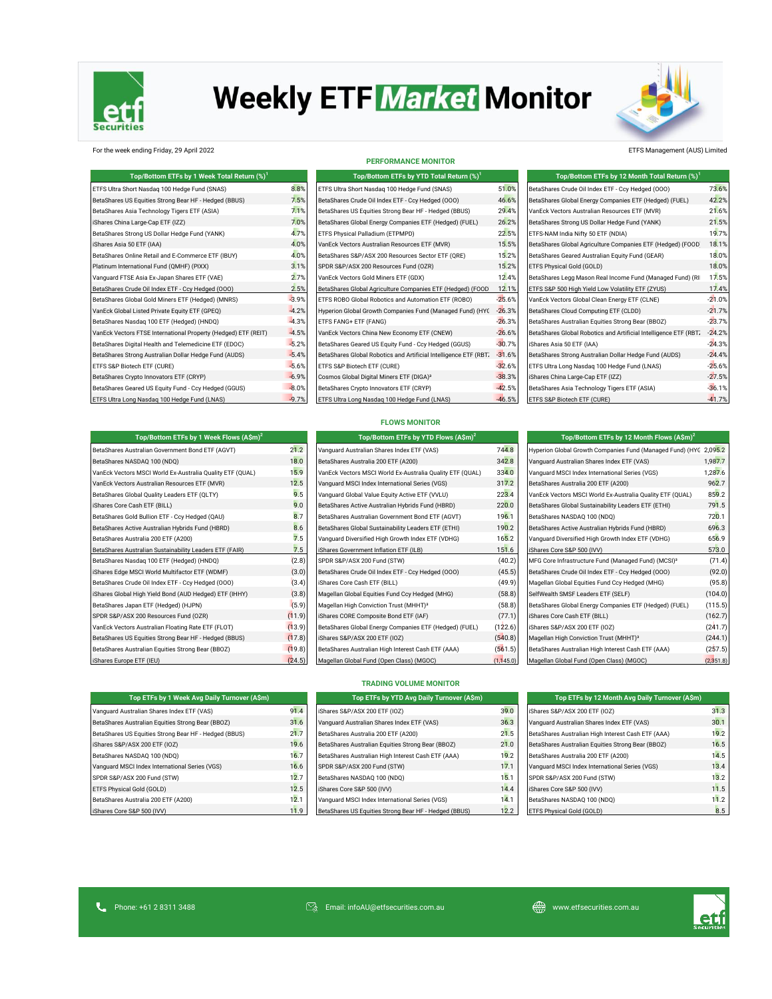

# **Weekly ETF Market Monitor**



For the week ending Friday, 29 April 2022 ETFS Management (AUS) Limited

| Top/Bottom ETFs by 1 Week Total Return (%) <sup>1</sup>        |         | Top/Bottom ETFs by YTD Total Return (%) <sup>1</sup>             |          | Top/Bottom ETFs by 12 Month Total Return (%) <sup>1</sup>        |          |
|----------------------------------------------------------------|---------|------------------------------------------------------------------|----------|------------------------------------------------------------------|----------|
| ETFS Ultra Short Nasdaq 100 Hedge Fund (SNAS)                  | 8.8%    | ETFS Ultra Short Nasdaq 100 Hedge Fund (SNAS)                    | 51.0%    | BetaShares Crude Oil Index ETF - Ccy Hedged (000)                | 73.6%    |
| BetaShares US Equities Strong Bear HF - Hedged (BBUS)          | 7.5%    | BetaShares Crude Oil Index ETF - Ccy Hedged (000)                | 46.6%    | BetaShares Global Energy Companies ETF (Hedged) (FUEL)           | 42.2%    |
| BetaShares Asia Technology Tigers ETF (ASIA)                   | 7.1%    | BetaShares US Equities Strong Bear HF - Hedged (BBUS)            | 29.4%    | VanEck Vectors Australian Resources ETF (MVR)                    | 21.6%    |
| iShares China Large-Cap ETF (IZZ)                              | 7.0%    | BetaShares Global Energy Companies ETF (Hedged) (FUEL)           | 26.2%    | BetaShares Strong US Dollar Hedge Fund (YANK)                    | 21.5%    |
| BetaShares Strong US Dollar Hedge Fund (YANK)                  | 4.7%    | ETFS Physical Palladium (ETPMPD)                                 | 22.5%    | ETFS-NAM India Nifty 50 ETF (NDIA)                               | 19.7%    |
| iShares Asia 50 ETF (IAA)                                      | 4.0%    | VanEck Vectors Australian Resources ETF (MVR)                    | 15.5%    | BetaShares Global Agriculture Companies ETF (Hedged) (FOOD       | 18.1%    |
| BetaShares Online Retail and E-Commerce ETF (IBUY)             | 4.0%    | BetaShares S&P/ASX 200 Resources Sector ETF (QRE)                | 15.2%    | BetaShares Geared Australian Equity Fund (GEAR)                  | 18.0%    |
| Platinum International Fund (QMHF) (PIXX)                      | 3.1%    | SPDR S&P/ASX 200 Resources Fund (OZR)                            | 15.2%    | ETFS Physical Gold (GOLD)                                        | 18.0%    |
| Vanquard FTSE Asia Ex-Japan Shares ETF (VAE)                   | 2.7%    | VanEck Vectors Gold Miners ETF (GDX)                             | 12.4%    | BetaShares Legg Mason Real Income Fund (Managed Fund) (RI        | 17.5%    |
| BetaShares Crude Oil Index ETF - Ccy Hedged (000)              | 2.5%    | BetaShares Global Agriculture Companies ETF (Hedged) (FOOD       | 12.1%    | ETFS S&P 500 High Yield Low Volatility ETF (ZYUS)                | 17.4%    |
| BetaShares Global Gold Miners ETF (Hedged) (MNRS)              | $-3.9%$ | ETFS ROBO Global Robotics and Automation ETF (ROBO)              | $-25.6%$ | VanEck Vectors Global Clean Energy ETF (CLNE)                    | $-21.0%$ |
| VanEck Global Listed Private Equity ETF (GPEQ)                 | $-4.2%$ | Hyperion Global Growth Companies Fund (Managed Fund) (HYC        | $-26.3%$ | BetaShares Cloud Computing ETF (CLDD)                            | $-21.7%$ |
| BetaShares Nasdaq 100 ETF (Hedged) (HNDQ)                      | $-4.3%$ | ETFS FANG+ ETF (FANG)                                            | $-26.3%$ | BetaShares Australian Equities Strong Bear (BBOZ)                | $-23.7%$ |
| VanEck Vectors FTSE International Property (Hedged) ETF (REIT) | $-4.5%$ | VanEck Vectors China New Economy ETF (CNEW)                      | $-26.6%$ | BetaShares Global Robotics and Artificial Intelligence ETF (RBT) | $-24.2%$ |
| BetaShares Digital Health and Telemedicine ETF (EDOC)          | $-5.2%$ | BetaShares Geared US Equity Fund - Ccy Hedged (GGUS)             | $-30.7%$ | iShares Asia 50 ETF (IAA)                                        | $-24.3%$ |
| BetaShares Strong Australian Dollar Hedge Fund (AUDS)          | $-5.4%$ | BetaShares Global Robotics and Artificial Intelligence ETF (RBT, | $-31.6%$ | BetaShares Strong Australian Dollar Hedge Fund (AUDS)            | $-24.4%$ |
| ETFS S&P Biotech ETF (CURE)                                    | $-5.6%$ | ETFS S&P Biotech ETF (CURE)                                      | $-32.6%$ | ETFS Ultra Long Nasdag 100 Hedge Fund (LNAS)                     | $-25.6%$ |
| BetaShares Crypto Innovators ETF (CRYP)                        | $-6.9%$ | Cosmos Global Digital Miners ETF (DIGA) <sup>3</sup>             | $-38.3%$ | iShares China Large-Cap ETF (IZZ)                                | $-27.5%$ |
| BetaShares Geared US Equity Fund - Ccy Hedged (GGUS)           | $-8.0%$ | BetaShares Crypto Innovators ETF (CRYP)                          | $-42.5%$ | BetaShares Asia Technology Tigers ETF (ASIA)                     | $-36.1%$ |
| ETFS Ultra Long Nasdaq 100 Hedge Fund (LNAS)                   | $-9.7%$ | ETFS Ultra Long Nasdaq 100 Hedge Fund (LNAS)                     | $-46.5%$ | ETFS S&P Biotech ETF (CURE)                                      | $-41.7%$ |

## **Top/Bottom ETFs by YTD Total Return (%)<sup>1</sup> PERFORMANCE MONITOR**

**FLOWS MONITOR**

|       | Top/Bottom ETFs by 12 Month Total Return (%) <sup>1</sup>        |          |
|-------|------------------------------------------------------------------|----------|
| 2%    | BetaShares Crude Oil Index ETF - Ccy Hedged (000)                | 73.6%    |
| 5%    | BetaShares Global Energy Companies ETF (Hedged) (FUEL)           | 42.2%    |
| 4%    | VanEck Vectors Australian Resources ETF (MVR)                    | 21.6%    |
| 2%    | BetaShares Strong US Dollar Hedge Fund (YANK)                    | 21.5%    |
| 5%    | ETFS-NAM India Nifty 50 ETF (NDIA)                               | 19.7%    |
| 5%    | BetaShares Global Agriculture Companies ETF (Hedged) (FOOD       | 18.1%    |
| 2%    | BetaShares Geared Australian Equity Fund (GEAR)                  | 18.0%    |
| 2%    | ETFS Physical Gold (GOLD)                                        | 18.0%    |
| 4%    | BetaShares Legg Mason Real Income Fund (Managed Fund) (RI        | 17.5%    |
| $1\%$ | ETFS S&P 500 High Yield Low Volatility ETF (ZYUS)                | 17.4%    |
| $5\%$ | VanEck Vectors Global Clean Energy ETF (CLNE)                    | $-21.0%$ |
| 3%    | BetaShares Cloud Computing ETF (CLDD)                            | $-21.7%$ |
| 3%    | BetaShares Australian Equities Strong Bear (BBOZ)                | $-23.7%$ |
| 5%    | BetaShares Global Robotics and Artificial Intelligence ETF (RBT. | $-24.2%$ |
| 7%    | iShares Asia 50 ETF (IAA)                                        | $-24.3%$ |
| 5%    | BetaShares Strong Australian Dollar Hedge Fund (AUDS)            | $-24.4%$ |
| 5%    | ETFS Ultra Long Nasdag 100 Hedge Fund (LNAS)                     | $-25.6%$ |
| 3%    | iShares China Large-Cap ETF (IZZ)                                | $-27.5%$ |
| 5%    | BetaShares Asia Technology Tigers ETF (ASIA)                     | $-36.1%$ |
| 5%    | ETFS S&P Biotech ETF (CURE)                                      | $-41.7%$ |

| Top/Bottom ETFs by 1 Week Flows $(A\sin^2)$               |                |
|-----------------------------------------------------------|----------------|
| BetaShares Australian Government Bond ETF (AGVT)          | 21             |
| BetaShares NASDAO 100 (NDO)                               | 18             |
| VanEck Vectors MSCI World Ex-Australia Quality ETF (QUAL) | 15             |
| VanEck Vectors Australian Resources ETF (MVR)             | 12             |
| BetaShares Global Quality Leaders ETF (QLTY)              | q              |
| iShares Core Cash ETF (BILL)                              | Ç              |
| BetaShares Gold Bullion ETF - Ccy Hedged (QAU)            | g              |
| BetaShares Active Australian Hybrids Fund (HBRD)          | g              |
| BetaShares Australia 200 ETF (A200)                       | 7              |
| BetaShares Australian Sustainability Leaders ETF (FAIR)   | 7              |
| BetaShares Nasdaq 100 ETF (Hedged) (HNDQ)                 | $\overline{c}$ |
| iShares Edge MSCI World Multifactor ETF (WDMF)            | $\overline{G}$ |
| BetaShares Crude Oil Index ETF - Ccy Hedged (000)         | $\overline{c}$ |
| iShares Global High Yield Bond (AUD Hedged) ETF (IHHY)    | <b>(3</b>      |
| BetaShares Japan ETF (Hedged) (HJPN)                      | (5)            |
| SPDR S&P/ASX 200 Resources Fund (OZR)                     | (11)           |
| VanEck Vectors Australian Floating Rate ETF (FLOT)        | (13)           |
| BetaShares US Equities Strong Bear HF - Hedged (BBUS)     | (17)           |
| BetaShares Australian Equities Strong Bear (BBOZ)         | (19            |
| iShares Furone FTF (IFLI)                                 | (24)           |

BetaShares US Equities Strong Bear HF - Hedged (BBUS) 21.7 iShares S&P/ASX 200 ETF (IOZ) 21.0 Bear (BBOZ) 21.0 Bear (BBOZ) 21.0 Bear (BBC) 21.0 Bear (BBC) 21.0 Bear (BBOZ) 21.0 Bear (BBC) 21.0 Bear (BBC) 21.0 Bear (BBC) 21.0 Bear (BBC) 21.0 Bear (BBC) 21.0 Bear (BBC) 21.0 Bear (BB BetaShares NASDAQ 100 (NDQ) 16.7 BetaShares Australian High Interest Cash ETF (A200) 19.2 BetaShares Australia 200 ETF (A200) 14.5 BetaShares Australia 200 ETF (A200) 14.5 BetaShares Australia 200 ETF (A200) 14.5 BetaShare Vanguard MSCI Index International Series (VGS) **16.6** Series (STP) 17.1 Vanguard MSCI Index International Series (VGS) SPDR S&P/ASX 200 Fund (STW) 12.7 ETFS Physical Gold (GOLD) 12.5 BetaShares Australia 200 ETF (A200) 12.1 Vanguard MSCI Index International Series (VGS) 14.1 BetaShares NASDAQ 100 (NDQ) 11.2 iShares Core S&P 500 (IVV) 11.9

| 1.2              | Vanquard Australian Shares Index ETF (VAS)                | 744.8      | Hyperion Global Growth Companies Fund (Managed Fund) (HYC 2,095.2 |           |
|------------------|-----------------------------------------------------------|------------|-------------------------------------------------------------------|-----------|
| 3.0              | BetaShares Australia 200 ETF (A200)                       | 342.8      | Vanquard Australian Shares Index ETF (VAS)                        | 1,987.7   |
| 5.9              | VanEck Vectors MSCI World Ex-Australia Quality ETF (QUAL) | 334.0      | Vanquard MSCI Index International Series (VGS)                    | 1,287.6   |
| 2.5              | Vanquard MSCI Index International Series (VGS)            | 317.2      | BetaShares Australia 200 ETF (A200)                               | 962.7     |
| 9.5              | Vanguard Global Value Equity Active ETF (VVLU)            | 223.4      | VanEck Vectors MSCI World Ex-Australia Quality ETF (QUAL)         | 859.2     |
| 9.0              | BetaShares Active Australian Hybrids Fund (HBRD)          | 220.0      | BetaShares Global Sustainability Leaders ETF (ETHI)               | 791.5     |
| $\overline{3.7}$ | BetaShares Australian Government Bond ETF (AGVT)          | 196.1      | BetaShares NASDAQ 100 (NDQ)                                       | 720.1     |
| 3.6              | BetaShares Global Sustainability Leaders ETF (ETHI)       | 190.2      | BetaShares Active Australian Hybrids Fund (HBRD)                  | 696.3     |
| 7.5              | Vanguard Diversified High Growth Index ETF (VDHG)         | 165.2      | Vanguard Diversified High Growth Index ETF (VDHG)                 | 656.9     |
| 7.5              | iShares Government Inflation ETF (ILB)                    | 151.6      | iShares Core S&P 500 (IVV)                                        | 573.0     |
| 2.8)             | SPDR S&P/ASX 200 Fund (STW)                               | (40.2)     | MFG Core Infrastructure Fund (Managed Fund) (MCSI) <sup>3</sup>   | (71.4)    |
| 3.0)             | BetaShares Crude Oil Index ETF - Ccy Hedged (000)         | (45.5)     | BetaShares Crude Oil Index ETF - Ccy Hedged (000)                 | (92.0)    |
| 3.4)             | iShares Core Cash ETF (BILL)                              | (49.9)     | Magellan Global Equities Fund Ccy Hedged (MHG)                    | (95.8)    |
| 3.8)             | Magellan Global Equities Fund Ccy Hedged (MHG)            | (58.8)     | SelfWealth SMSF Leaders ETF (SELF)                                | (104.0)   |
| 5.9)             | Magellan High Conviction Trust (MHHT) <sup>3</sup>        | (58.8)     | BetaShares Global Energy Companies ETF (Hedged) (FUEL)            | (115.5)   |
| 1.9)             | iShares CORE Composite Bond ETF (IAF)                     | (77.1)     | iShares Core Cash ETF (BILL)                                      | (162.7)   |
| 3.9)             | BetaShares Global Energy Companies ETF (Hedged) (FUEL)    | (122.6)    | iShares S&P/ASX 200 ETF (IOZ)                                     | (241.7)   |
| 7.8)             | iShares S&P/ASX 200 ETF (IOZ)                             | (540.8)    | Magellan High Conviction Trust (MHHT) <sup>3</sup>                | (244.1)   |
| 9.8)             | BetaShares Australian High Interest Cash ETF (AAA)        | (561.5)    | BetaShares Australian High Interest Cash ETF (AAA)                | (257.5)   |
| 4.5)             | Magellan Global Fund (Open Class) (MGOC)                  | (1, 145.0) | Magellan Global Fund (Open Class) (MGOC)                          | (2,351.8) |

**TRADING VOLUME MONITOR**

| Top/Bottom ETFs by 1 Week Flows $(A\sin^2)$               |        | Top/Bottom ETFs by YTD Flows (A\$m) <sup>2</sup>          |         | Top/Bottom ETFs by 12 Month Flows $(A\sin^2)$                     |         |
|-----------------------------------------------------------|--------|-----------------------------------------------------------|---------|-------------------------------------------------------------------|---------|
| BetaShares Australian Government Bond ETF (AGVT)          | 21.2   | Vanguard Australian Shares Index ETF (VAS)                | 744.8   | Hyperion Global Growth Companies Fund (Managed Fund) (HYC 2,095.2 |         |
| BetaShares NASDAQ 100 (NDQ)                               | 18.0   | BetaShares Australia 200 ETF (A200)                       | 342.8   | Vanquard Australian Shares Index ETF (VAS)                        | 1,987.7 |
| VanEck Vectors MSCI World Ex-Australia Quality ETF (QUAL) | 15.9   | VanEck Vectors MSCI World Ex-Australia Quality ETF (QUAL) | 334.0   | Vanguard MSCI Index International Series (VGS)                    | 1,287.6 |
| VanEck Vectors Australian Resources ETF (MVR)             | 12.5   | Vanguard MSCI Index International Series (VGS)            | 317.2   | BetaShares Australia 200 ETF (A200)                               | 962.7   |
| BetaShares Global Quality Leaders ETF (QLTY)              | 9.5    | Vanquard Global Value Equity Active ETF (VVLU)            | 223.4   | VanEck Vectors MSCI World Ex-Australia Quality ETF (QUAL)         | 859.2   |
| iShares Core Cash ETF (BILL)                              | 9.0    | BetaShares Active Australian Hybrids Fund (HBRD)          | 220.0   | BetaShares Global Sustainability Leaders ETF (ETHI)               | 791.5   |
| BetaShares Gold Bullion ETF - Ccy Hedged (QAU)            | 8.7    | BetaShares Australian Government Bond ETF (AGVT)          | 196.1   | BetaShares NASDAQ 100 (NDQ)                                       | 720.1   |
| BetaShares Active Australian Hybrids Fund (HBRD)          | 8.6    | BetaShares Global Sustainability Leaders ETF (ETHI)       | 190.2   | BetaShares Active Australian Hybrids Fund (HBRD)                  | 696.3   |
| BetaShares Australia 200 ETF (A200)                       | 7.5    | Vanguard Diversified High Growth Index ETF (VDHG)         | 165.2   | Vanguard Diversified High Growth Index ETF (VDHG)                 | 656.9   |
| BetaShares Australian Sustainability Leaders ETF (FAIR)   | 7.5    | iShares Government Inflation ETF (ILB)                    | 151.6   | iShares Core S&P 500 (IVV)                                        | 573.0   |
| BetaShares Nasdag 100 ETF (Hedged) (HNDQ)                 | (2.8)  | SPDR S&P/ASX 200 Fund (STW)                               | (40.2)  | MFG Core Infrastructure Fund (Managed Fund) (MCSI) <sup>3</sup>   | (71.4)  |
| iShares Edge MSCI World Multifactor ETF (WDMF)            | (3.0)  | BetaShares Crude Oil Index ETF - Ccy Hedged (000)         | (45.5)  | BetaShares Crude Oil Index ETF - Ccy Hedged (000)                 | (92.0)  |
| BetaShares Crude Oil Index ETF - Ccy Hedged (OOO)         | (3.4)  | iShares Core Cash ETF (BILL)                              | (49.9)  | Magellan Global Equities Fund Ccy Hedged (MHG)                    | (95.8)  |
| iShares Global High Yield Bond (AUD Hedged) ETF (IHHY)    | (3.8)  | Magellan Global Equities Fund Ccy Hedged (MHG)            | (58.8)  | SelfWealth SMSF Leaders ETF (SELF)                                | (104.0) |
| BetaShares Japan ETF (Hedged) (HJPN)                      | (5.9)  | Magellan High Conviction Trust (MHHT) <sup>3</sup>        | (58.8)  | BetaShares Global Energy Companies ETF (Hedged) (FUEL)            | (115.5) |
| SPDR S&P/ASX 200 Resources Fund (OZR)                     | (11.9) | iShares CORE Composite Bond ETF (IAF)                     | (77.1)  | iShares Core Cash ETF (BILL)                                      | (162.7) |
| VanEck Vectors Australian Floating Rate ETF (FLOT)        | (13.9) | BetaShares Global Energy Companies ETF (Hedged) (FUEL)    | (122.6) | iShares S&P/ASX 200 ETF (IOZ)                                     | (241.7) |
| BetaShares US Equities Strong Bear HF - Hedged (BBUS)     | (17.8) | iShares S&P/ASX 200 ETF (IOZ)                             | (540.8) | Magellan High Conviction Trust (MHHT) <sup>3</sup>                | (244.1) |
| BetaShares Australian Equities Strong Bear (BBOZ)         | (19.8) | BetaShares Australian High Interest Cash ETF (AAA)        | (561.5) | BetaShares Australian High Interest Cash ETF (AAA)                | (257.5) |
|                                                           |        |                                                           |         |                                                                   |         |

| Top ETFs by 1 Week Avg Daily Turnover (A\$m),     | Top ETFs by YTD Av                    |
|---------------------------------------------------|---------------------------------------|
| Vanquard Australian Shares Index ETF (VAS)        | 91.4 iShares S&P/ASX 200 ETF (IOZ)    |
| BetaShares Australian Equities Strong Bear (BBOZ) | 31.6 Vanguard Australian Shares Index |

| iShares S&P/ASX 200 ETF (IOZ)                         | 39.0 | iShares S&P/ASX 200 ETI  |
|-------------------------------------------------------|------|--------------------------|
| Vanquard Australian Shares Index ETF (VAS)            | 36.3 | Vanquard Australian Shar |
| BetaShares Australia 200 ETF (A200)                   | 21.5 | BetaShares Australian Hi |
| BetaShares Australian Equities Strong Bear (BBOZ)     | 21.0 | BetaShares Australian Eq |
| BetaShares Australian High Interest Cash ETF (AAA)    | 19.2 | BetaShares Australia 200 |
| SPDR S&P/ASX 200 Fund (STW)                           | 17.1 | Vanquard MSCI Index Inte |
| BetaShares NASDAQ 100 (NDQ)                           | 15.1 | SPDR S&P/ASX 200 Fund    |
| iShares Core S&P 500 (IVV)                            | 14.4 | iShares Core S&P 500 (IV |
| Vanquard MSCI Index International Series (VGS)        | 14.1 | BetaShares NASDAO 100    |
| BetaShares US Fquities Strong Bear HF - Hedged (BBUS) | 12.2 | FTES Physical Gold (GOI  |

**Daily Turnover (A\$m)** 

| Top ETFs by 12 Month Avg Daily Turnover (A\$m)     |      |  |  |
|----------------------------------------------------|------|--|--|
| iShares S&P/ASX 200 ETF (IOZ)                      | 31.3 |  |  |
| Vanquard Australian Shares Index ETF (VAS)         | 30.1 |  |  |
| BetaShares Australian High Interest Cash ETF (AAA) | 19.2 |  |  |
| BetaShares Australian Equities Strong Bear (BBOZ)  | 16.5 |  |  |
| BetaShares Australia 200 ETF (A200)                | 14.5 |  |  |
| Vanquard MSCI Index International Series (VGS)     | 13.4 |  |  |
| SPDR S&P/ASX 200 Fund (STW)                        | 13.2 |  |  |
| iShares Core S&P 500 (IVV)                         | 11.5 |  |  |
| BetaShares NASDAQ 100 (NDQ)                        |      |  |  |
| ETFS Physical Gold (GOLD)                          | 8.5  |  |  |